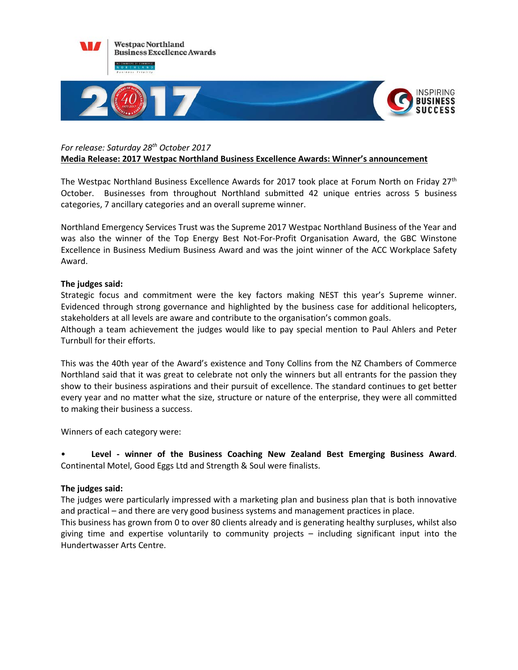

### *For release: Saturday 28th October 2017* **Media Release: 2017 Westpac Northland Business Excellence Awards: Winner's announcement**

The Westpac Northland Business Excellence Awards for 2017 took place at Forum North on Friday 27<sup>th</sup> October. Businesses from throughout Northland submitted 42 unique entries across 5 business categories, 7 ancillary categories and an overall supreme winner.

Northland Emergency Services Trust was the Supreme 2017 Westpac Northland Business of the Year and was also the winner of the Top Energy Best Not-For-Profit Organisation Award, the GBC Winstone Excellence in Business Medium Business Award and was the joint winner of the ACC Workplace Safety Award.

# **The judges said:**

Strategic focus and commitment were the key factors making NEST this year's Supreme winner. Evidenced through strong governance and highlighted by the business case for additional helicopters, stakeholders at all levels are aware and contribute to the organisation's common goals.

Although a team achievement the judges would like to pay special mention to Paul Ahlers and Peter Turnbull for their efforts.

This was the 40th year of the Award's existence and Tony Collins from the NZ Chambers of Commerce Northland said that it was great to celebrate not only the winners but all entrants for the passion they show to their business aspirations and their pursuit of excellence. The standard continues to get better every year and no matter what the size, structure or nature of the enterprise, they were all committed to making their business a success.

Winners of each category were:

• **Level - winner of the Business Coaching New Zealand Best Emerging Business Award**. Continental Motel, Good Eggs Ltd and Strength & Soul were finalists.

## **The judges said:**

The judges were particularly impressed with a marketing plan and business plan that is both innovative and practical – and there are very good business systems and management practices in place.

This business has grown from 0 to over 80 clients already and is generating healthy surpluses, whilst also giving time and expertise voluntarily to community projects – including significant input into the Hundertwasser Arts Centre.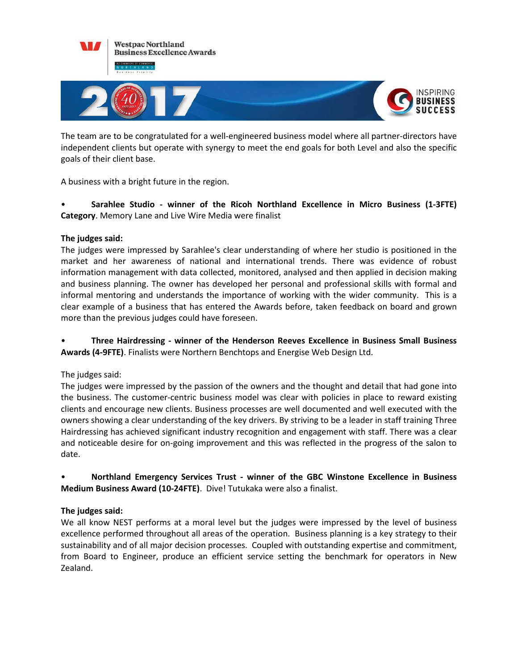

The team are to be congratulated for a well-engineered business model where all partner-directors have independent clients but operate with synergy to meet the end goals for both Level and also the specific goals of their client base.

A business with a bright future in the region.

• **Sarahlee Studio - winner of the Ricoh Northland Excellence in Micro Business (1-3FTE) Category**. Memory Lane and Live Wire Media were finalist

# **The judges said:**

The judges were impressed by Sarahlee's clear understanding of where her studio is positioned in the market and her awareness of national and international trends. There was evidence of robust information management with data collected, monitored, analysed and then applied in decision making and business planning. The owner has developed her personal and professional skills with formal and informal mentoring and understands the importance of working with the wider community. This is a clear example of a business that has entered the Awards before, taken feedback on board and grown more than the previous judges could have foreseen.

• **Three Hairdressing - winner of the Henderson Reeves Excellence in Business Small Business Awards (4-9FTE)**. Finalists were Northern Benchtops and Energise Web Design Ltd.

## The judges said:

The judges were impressed by the passion of the owners and the thought and detail that had gone into the business. The customer-centric business model was clear with policies in place to reward existing clients and encourage new clients. Business processes are well documented and well executed with the owners showing a clear understanding of the key drivers. By striving to be a leader in staff training Three Hairdressing has achieved significant industry recognition and engagement with staff. There was a clear and noticeable desire for on-going improvement and this was reflected in the progress of the salon to date.

• **Northland Emergency Services Trust - winner of the GBC Winstone Excellence in Business Medium Business Award (10-24FTE)**. Dive! Tutukaka were also a finalist.

# **The judges said:**

We all know NEST performs at a moral level but the judges were impressed by the level of business excellence performed throughout all areas of the operation. Business planning is a key strategy to their sustainability and of all major decision processes. Coupled with outstanding expertise and commitment, from Board to Engineer, produce an efficient service setting the benchmark for operators in New Zealand.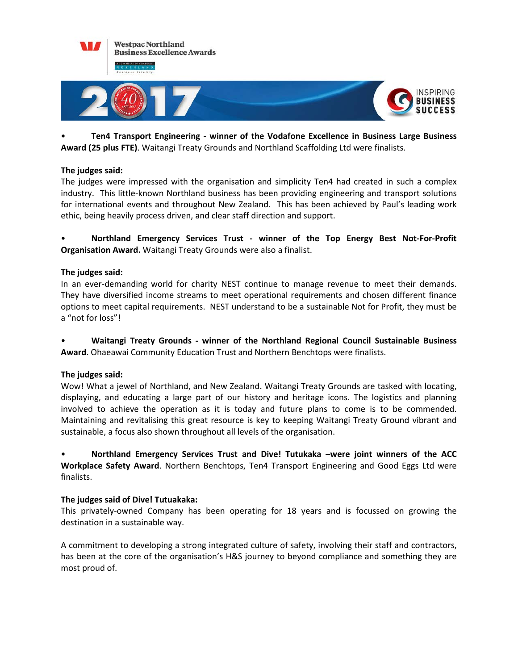

• **Ten4 Transport Engineering - winner of the Vodafone Excellence in Business Large Business Award (25 plus FTE)**. Waitangi Treaty Grounds and Northland Scaffolding Ltd were finalists.

## **The judges said:**

The judges were impressed with the organisation and simplicity Ten4 had created in such a complex industry. This little-known Northland business has been providing engineering and transport solutions for international events and throughout New Zealand. This has been achieved by Paul's leading work ethic, being heavily process driven, and clear staff direction and support.

• **Northland Emergency Services Trust - winner of the Top Energy Best Not-For-Profit Organisation Award.** Waitangi Treaty Grounds were also a finalist.

### **The judges said:**

In an ever-demanding world for charity NEST continue to manage revenue to meet their demands. They have diversified income streams to meet operational requirements and chosen different finance options to meet capital requirements. NEST understand to be a sustainable Not for Profit, they must be a "not for loss"!

• **Waitangi Treaty Grounds - winner of the Northland Regional Council Sustainable Business Award**. Ohaeawai Community Education Trust and Northern Benchtops were finalists.

#### **The judges said:**

Wow! What a jewel of Northland, and New Zealand. Waitangi Treaty Grounds are tasked with locating, displaying, and educating a large part of our history and heritage icons. The logistics and planning involved to achieve the operation as it is today and future plans to come is to be commended. Maintaining and revitalising this great resource is key to keeping Waitangi Treaty Ground vibrant and sustainable, a focus also shown throughout all levels of the organisation.

• **Northland Emergency Services Trust and Dive! Tutukaka –were joint winners of the ACC Workplace Safety Award**. Northern Benchtops, Ten4 Transport Engineering and Good Eggs Ltd were finalists.

#### **The judges said of Dive! Tutuakaka:**

This privately-owned Company has been operating for 18 years and is focussed on growing the destination in a sustainable way.

A commitment to developing a strong integrated culture of safety, involving their staff and contractors, has been at the core of the organisation's H&S journey to beyond compliance and something they are most proud of.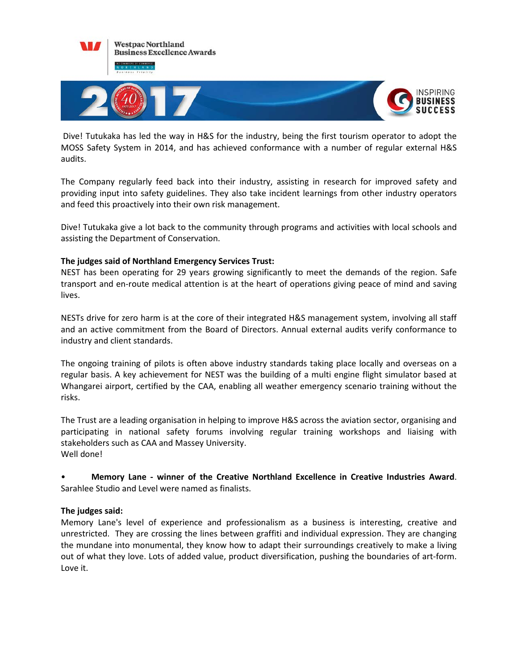

Dive! Tutukaka has led the way in H&S for the industry, being the first tourism operator to adopt the MOSS Safety System in 2014, and has achieved conformance with a number of regular external H&S audits.

The Company regularly feed back into their industry, assisting in research for improved safety and providing input into safety guidelines. They also take incident learnings from other industry operators and feed this proactively into their own risk management.

Dive! Tutukaka give a lot back to the community through programs and activities with local schools and assisting the Department of Conservation.

## **The judges said of Northland Emergency Services Trust:**

NEST has been operating for 29 years growing significantly to meet the demands of the region. Safe transport and en-route medical attention is at the heart of operations giving peace of mind and saving lives.

NESTs drive for zero harm is at the core of their integrated H&S management system, involving all staff and an active commitment from the Board of Directors. Annual external audits verify conformance to industry and client standards.

The ongoing training of pilots is often above industry standards taking place locally and overseas on a regular basis. A key achievement for NEST was the building of a multi engine flight simulator based at Whangarei airport, certified by the CAA, enabling all weather emergency scenario training without the risks.

The Trust are a leading organisation in helping to improve H&S across the aviation sector, organising and participating in national safety forums involving regular training workshops and liaising with stakeholders such as CAA and Massey University. Well done!

• **Memory Lane - winner of the Creative Northland Excellence in Creative Industries Award**. Sarahlee Studio and Level were named as finalists.

#### **The judges said:**

Memory Lane's level of experience and professionalism as a business is interesting, creative and unrestricted. They are crossing the lines between graffiti and individual expression. They are changing the mundane into monumental, they know how to adapt their surroundings creatively to make a living out of what they love. Lots of added value, product diversification, pushing the boundaries of art-form. Love it.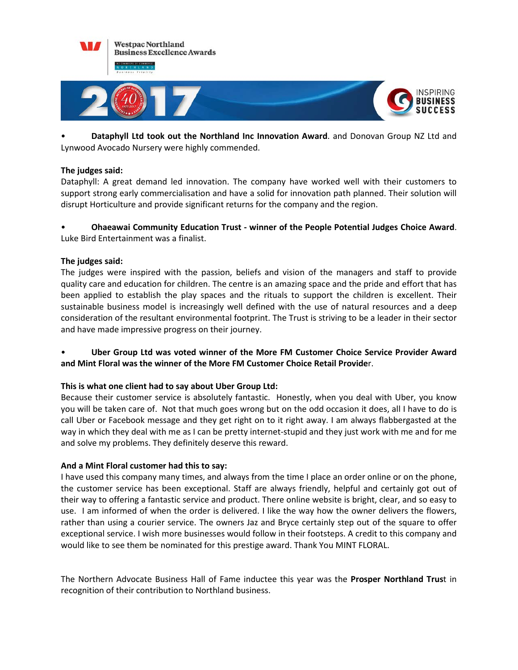

• **Dataphyll Ltd took out the Northland Inc Innovation Award**. and Donovan Group NZ Ltd and Lynwood Avocado Nursery were highly commended.

## **The judges said:**

Dataphyll: A great demand led innovation. The company have worked well with their customers to support strong early commercialisation and have a solid for innovation path planned. Their solution will disrupt Horticulture and provide significant returns for the company and the region.

# • **Ohaeawai Community Education Trust - winner of the People Potential Judges Choice Award**. Luke Bird Entertainment was a finalist.

### **The judges said:**

The judges were inspired with the passion, beliefs and vision of the managers and staff to provide quality care and education for children. The centre is an amazing space and the pride and effort that has been applied to establish the play spaces and the rituals to support the children is excellent. Their sustainable business model is increasingly well defined with the use of natural resources and a deep consideration of the resultant environmental footprint. The Trust is striving to be a leader in their sector and have made impressive progress on their journey.

# • **Uber Group Ltd was voted winner of the More FM Customer Choice Service Provider Award and Mint Floral was the winner of the More FM Customer Choice Retail Provide**r.

## **This is what one client had to say about Uber Group Ltd:**

Because their customer service is absolutely fantastic. Honestly, when you deal with Uber, you know you will be taken care of. Not that much goes wrong but on the odd occasion it does, all I have to do is call Uber or Facebook message and they get right on to it right away. I am always flabbergasted at the way in which they deal with me as I can be pretty internet-stupid and they just work with me and for me and solve my problems. They definitely deserve this reward.

#### **And a Mint Floral customer had this to say:**

I have used this company many times, and always from the time I place an order online or on the phone, the customer service has been exceptional. Staff are always friendly, helpful and certainly got out of their way to offering a fantastic service and product. There online website is bright, clear, and so easy to use. I am informed of when the order is delivered. I like the way how the owner delivers the flowers, rather than using a courier service. The owners Jaz and Bryce certainly step out of the square to offer exceptional service. I wish more businesses would follow in their footsteps. A credit to this company and would like to see them be nominated for this prestige award. Thank You MINT FLORAL.

The Northern Advocate Business Hall of Fame inductee this year was the **Prosper Northland Trus**t in recognition of their contribution to Northland business.